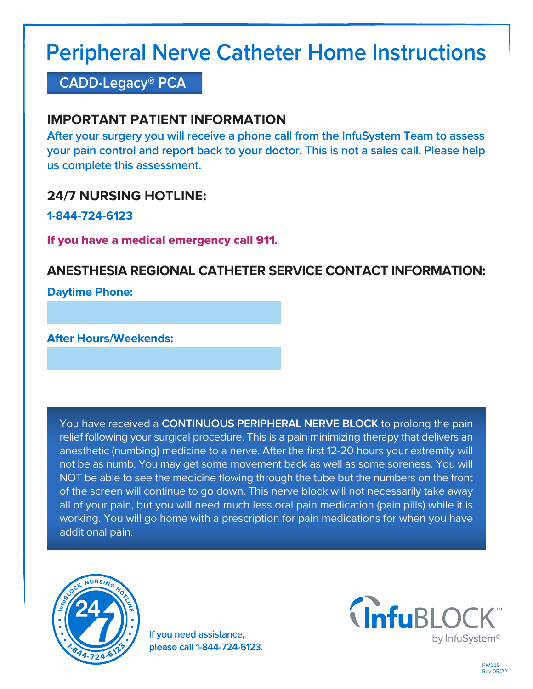# **Peripheral Nerve Catheter Home Instructions**

## **CADD-Legacy® PCA**

## **IMPORTANT PATIENT INFORMATION**

**After your surgery you will receive a phone call from the InfuSystem Team to assess your pain control and report back to your doctor. This is not a sales call. Please help us complete this assessment.**

## **24/7 NURSING HOTLINE:**

**1-844-724-6123**

If you have a medical emergency call 911.

## **ANESTHESIA REGIONAL CATHETER SERVICE CONTACT INFORMATION:**

**Daytime Phone:**

**After Hours/Weekends:**

You have received a **CONTINUOUS PERIPHERAL NERVE BLOCK** to prolong the pain relief following your surgical procedure. This is a pain minimizing therapy that delivers an anesthetic (numbing) medicine to a nerve. After the first 12-20 hours your extremity will not be as numb. You may get some movement back as well as some soreness. You will NOT be able to see the medicine flowing through the tube but the numbers on the front of the screen will continue to go down. This nerve block will not necessarily take away all of your pain, but you will need much less oral pain medication (pain pills) while it is working. You will go home with a prescription for pain medications for when you have additional pain.



**If you need assistance, please call 1-844-724-6123.**

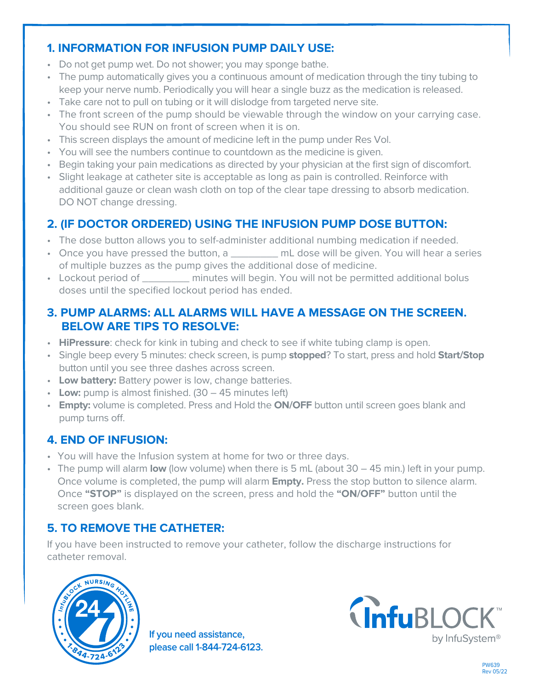#### **1. INFORMATION FOR INFUSION PUMP DAILY USE:**

- Do not get pump wet. Do not shower; you may sponge bathe.
- The pump automatically gives you a continuous amount of medication through the tiny tubing to keep your nerve numb. Periodically you will hear a single buzz as the medication is released.
- Take care not to pull on tubing or it will dislodge from targeted nerve site.
- The front screen of the pump should be viewable through the window on your carrying case. You should see RUN on front of screen when it is on.
- This screen displays the amount of medicine left in the pump under Res Vol.
- You will see the numbers continue to countdown as the medicine is given.
- Begin taking your pain medications as directed by your physician at the first sign of discomfort.
- Slight leakage at catheter site is acceptable as long as pain is controlled. Reinforce with additional gauze or clean wash cloth on top of the clear tape dressing to absorb medication. DO NOT change dressing.

### **2. (IF DOCTOR ORDERED) USING THE INFUSION PUMP DOSE BUTTON:**

- The dose button allows you to self-administer additional numbing medication if needed.
- Once you have pressed the button, a \_\_\_\_\_\_\_\_ mL dose will be given. You will hear a series of multiple buzzes as the pump gives the additional dose of medicine.
- Lockout period of minutes will begin. You will not be permitted additional bolus doses until the specified lockout period has ended.

#### **3. PUMP ALARMS: ALL ALARMS WILL HAVE A MESSAGE ON THE SCREEN. BELOW ARE TIPS TO RESOLVE:**

- **HiPressure**: check for kink in tubing and check to see if white tubing clamp is open.
- Single beep every 5 minutes: check screen, is pump **stopped**? To start, press and hold **Start/Stop** button until you see three dashes across screen.
- **Low battery:** Battery power is low, change batteries.
- **Low:** pump is almost finished. (30 45 minutes left)
- **Empty:** volume is completed. Press and Hold the **ON/OFF** button until screen goes blank and pump turns off.

#### **4. END OF INFUSION:**

- You will have the Infusion system at home for two or three days.
- The pump will alarm **low** (low volume) when there is 5 mL (about 30 45 min.) left in your pump. Once volume is completed, the pump will alarm **Empty.** Press the stop button to silence alarm. Once **"STOP"** is displayed on the screen, press and hold the **"ON/OFF"** button until the screen goes blank.

#### **5. TO REMOVE THE CATHETER:**

If you have been instructed to remove your catheter, follow the discharge instructions for catheter removal.



**If you need assistance, please call 1-844-724-6123.**